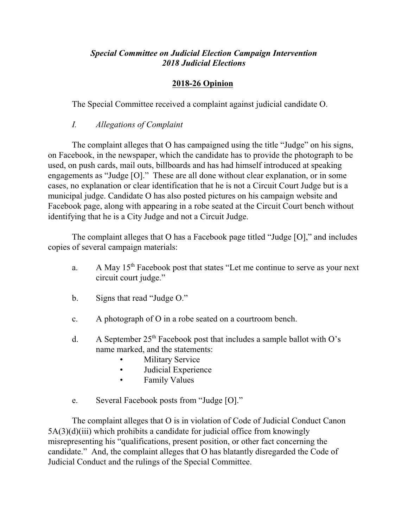## *Special Committee on Judicial Election Campaign Intervention 2018 Judicial Elections*

## **2018-26 Opinion**

The Special Committee received a complaint against judicial candidate O.

*I. Allegations of Complaint* 

The complaint alleges that O has campaigned using the title "Judge" on his signs, on Facebook, in the newspaper, which the candidate has to provide the photograph to be used, on push cards, mail outs, billboards and has had himself introduced at speaking engagements as "Judge [O]." These are all done without clear explanation, or in some cases, no explanation or clear identification that he is not a Circuit Court Judge but is a municipal judge. Candidate O has also posted pictures on his campaign website and Facebook page, along with appearing in a robe seated at the Circuit Court bench without identifying that he is a City Judge and not a Circuit Judge.

The complaint alleges that O has a Facebook page titled "Judge [O]," and includes copies of several campaign materials:

- a. A May 15<sup>th</sup> Facebook post that states "Let me continue to serve as your next circuit court judge."
- b. Signs that read "Judge O."
- c. A photograph of O in a robe seated on a courtroom bench.
- d. A September  $25<sup>th</sup>$  Facebook post that includes a sample ballot with O's name marked, and the statements:
	- **Military Service**
	- Judicial Experience
	- Family Values
- e. Several Facebook posts from "Judge [O]."

The complaint alleges that O is in violation of Code of Judicial Conduct Canon  $5A(3)(d)(iii)$  which prohibits a candidate for judicial office from knowingly misrepresenting his "qualifications, present position, or other fact concerning the candidate." And, the complaint alleges that O has blatantly disregarded the Code of Judicial Conduct and the rulings of the Special Committee.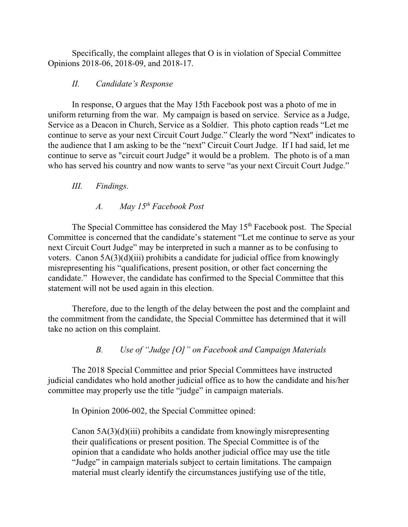Specifically, the complaint alleges that O is in violation of Special Committee Opinions 2018-06, 2018-09, and 2018-17.

## *II. Candidate's Response*

In response, O argues that the May 15th Facebook post was a photo of me in uniform returning from the war. My campaign is based on service. Service as a Judge, Service as a Deacon in Church, Service as a Soldier. This photo caption reads "Let me continue to serve as your next Circuit Court Judge." Clearly the word "Next" indicates to the audience that I am asking to be the "next" Circuit Court Judge. If I had said, let me continue to serve as "circuit court Judge" it would be a problem. The photo is of a man who has served his country and now wants to serve "as your next Circuit Court Judge."

## *III. Findings.*

# *A. May 15th Facebook Post*

The Special Committee has considered the May 15<sup>th</sup> Facebook post. The Special Committee is concerned that the candidate's statement "Let me continue to serve as your next Circuit Court Judge" may be interpreted in such a manner as to be confusing to voters. Canon  $5A(3)(d)(iii)$  prohibits a candidate for judicial office from knowingly misrepresenting his "qualifications, present position, or other fact concerning the candidate." However, the candidate has confirmed to the Special Committee that this statement will not be used again in this election.

Therefore, due to the length of the delay between the post and the complaint and the commitment from the candidate, the Special Committee has determined that it will take no action on this complaint.

## *B. Use of "Judge [O]" on Facebook and Campaign Materials*

The 2018 Special Committee and prior Special Committees have instructed judicial candidates who hold another judicial office as to how the candidate and his/her committee may properly use the title "judge" in campaign materials.

In Opinion 2006-002, the Special Committee opined:

Canon 5A(3)(d)(iii) prohibits a candidate from knowingly misrepresenting their qualifications or present position. The Special Committee is of the opinion that a candidate who holds another judicial office may use the title "Judge" in campaign materials subject to certain limitations. The campaign material must clearly identify the circumstances justifying use of the title,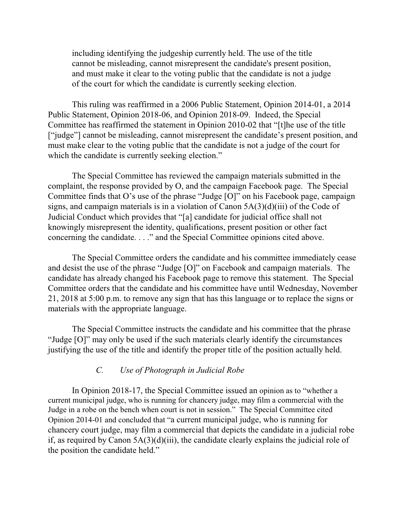including identifying the judgeship currently held. The use of the title cannot be misleading, cannot misrepresent the candidate's present position, and must make it clear to the voting public that the candidate is not a judge of the court for which the candidate is currently seeking election.

This ruling was reaffirmed in a 2006 Public Statement, Opinion 2014-01, a 2014 Public Statement, Opinion 2018-06, and Opinion 2018-09. Indeed, the Special Committee has reaffirmed the statement in Opinion 2010-02 that "[t]he use of the title ["judge"] cannot be misleading, cannot misrepresent the candidate's present position, and must make clear to the voting public that the candidate is not a judge of the court for which the candidate is currently seeking election."

The Special Committee has reviewed the campaign materials submitted in the complaint, the response provided by O, and the campaign Facebook page. The Special Committee finds that O's use of the phrase "Judge [O]" on his Facebook page, campaign signs, and campaign materials is in a violation of Canon 5A(3)(d)(iii) of the Code of Judicial Conduct which provides that "[a] candidate for judicial office shall not knowingly misrepresent the identity, qualifications, present position or other fact concerning the candidate. . . ." and the Special Committee opinions cited above.

The Special Committee orders the candidate and his committee immediately cease and desist the use of the phrase "Judge [O]" on Facebook and campaign materials. The candidate has already changed his Facebook page to remove this statement. The Special Committee orders that the candidate and his committee have until Wednesday, November 21, 2018 at 5:00 p.m. to remove any sign that has this language or to replace the signs or materials with the appropriate language.

The Special Committee instructs the candidate and his committee that the phrase "Judge [O]" may only be used if the such materials clearly identify the circumstances justifying the use of the title and identify the proper title of the position actually held.

### *C. Use of Photograph in Judicial Robe*

In Opinion 2018-17, the Special Committee issued an opinion as to "whether a current municipal judge, who is running for chancery judge, may film a commercial with the Judge in a robe on the bench when court is not in session." The Special Committee cited Opinion 2014-01 and concluded that "a current municipal judge, who is running for chancery court judge, may film a commercial that depicts the candidate in a judicial robe if, as required by Canon 5A(3)(d)(iii), the candidate clearly explains the judicial role of the position the candidate held."